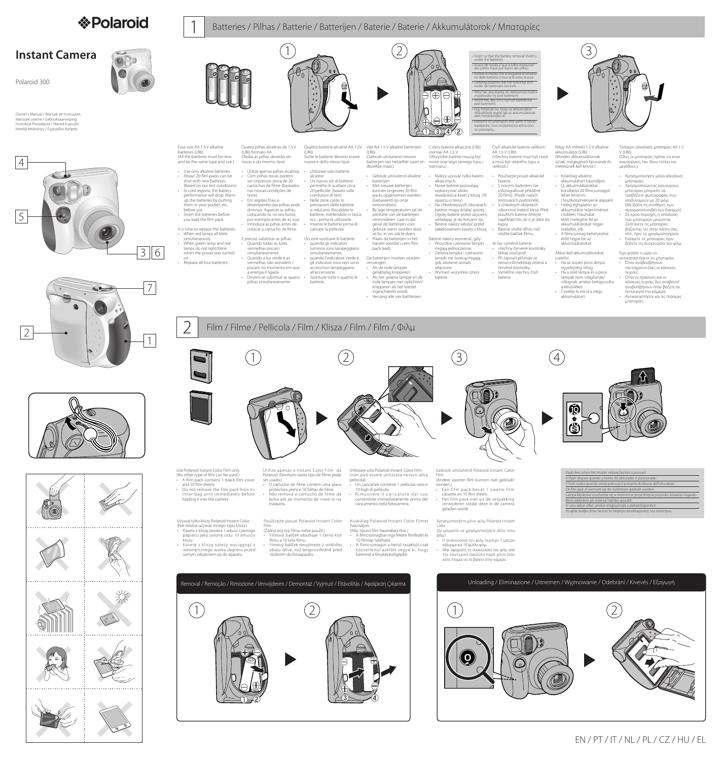



 $\bigodot$ 

<u> (1) IIII III</u>